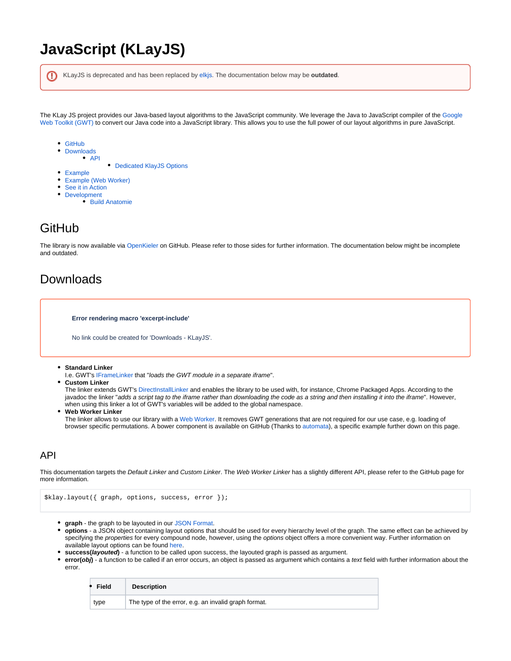# **JavaScript (KLayJS)**

| KLayJS is deprecated and has been replaced by elkis. The documentation below may be <b>outdated</b> .                                                                                                                                                                                                            |
|------------------------------------------------------------------------------------------------------------------------------------------------------------------------------------------------------------------------------------------------------------------------------------------------------------------|
| The KLay JS project provides our Java-based layout algorithms to the JavaScript community. We leverage the Java to JavaScript compiler of the Google<br>Web Toolkit (GWT) to convert our Java code into a JavaScript library. This allows you to use the full power of our layout algorithms in pure JavaScript. |
| • GitHub<br>• Downloads<br>$\bullet$ API                                                                                                                                                                                                                                                                         |
| • Dedicated KlayJS Options                                                                                                                                                                                                                                                                                       |
| • Example                                                                                                                                                                                                                                                                                                        |
| • Example (Web Worker)                                                                                                                                                                                                                                                                                           |
| • See it in Action                                                                                                                                                                                                                                                                                               |

- [Development](#page-4-0)
	- [Build Anatomie](#page-4-1)

# <span id="page-0-0"></span>GitHub

The library is now available via [OpenKieler o](https://github.com/OpenKieler)n GitHub. Please refer to those sides for further information. The documentation below might be incomplete and outdated.

# <span id="page-0-1"></span>Downloads

**Error rendering macro 'excerpt-include'**

No link could be created for 'Downloads - KLayJS'.

- **Standard Linker**
- I.e. GWT's [IFrameLinker t](http://www.gwtproject.org/javadoc/latest/com/google/gwt/core/linker/IFrameLinker.html)hat "loads the GWT module in a separate iframe".
- **Custom Linker**

The linker extends GWT's [DirectInstallLinker](http://www.gwtproject.org/javadoc/latest/com/google/gwt/core/linker/DirectInstallLinker.html) and enables the library to be used with, for instance, Chrome Packaged Apps. According to the javadoc the linker "adds a script tag to the iframe rather than downloading the code as a string and then installing it into the iframe". However, when using this linker a lot of GWT's variables will be added to the global namespace.

**Web Worker Linker**

The linker allows to use our library with a [Web Worker](http://en.wikipedia.org/wiki/Web_worker). It removes GWT generations that are not required for our use case, e.g. loading of browser specific permutations. A bower component is available on GitHub (Thanks to [automata\)](https://github.com/automata), a specific example further down on this page.

### <span id="page-0-2"></span>API

This documentation targets the Default Linker and Custom Linker. The Web Worker Linker has a slightly different API, please refer to the GitHub page for more information.

```
$klay.layout({ graph, options, success, error });
```
- **graph** the graph to be layouted in our [JSON Format](https://rtsys.informatik.uni-kiel.de/confluence/display/KIELER/JSON+Graph+Format).
- **options** a JSON object containing layout options that should be used for every hierarchy level of the graph. The same effect can be achieved by specifying the properties for every compound node, however, using the options object offers a more convenient way. Further information on available layout options can be found [here.](http://layout.rtsys.informatik.uni-kiel.de:9444/Providedlayout.html?algorithm=de.cau.cs.kieler.klay.layered)
- **success(layouted)** a function to be called upon success, the layouted graph is passed as argument.
- **error(obj)** a function to be called if an error occurs, an object is passed as argument which contains a text field with further information about the error.

| Field | <b>Description</b>                                   |
|-------|------------------------------------------------------|
| type  | The type of the error, e.g. an invalid graph format. |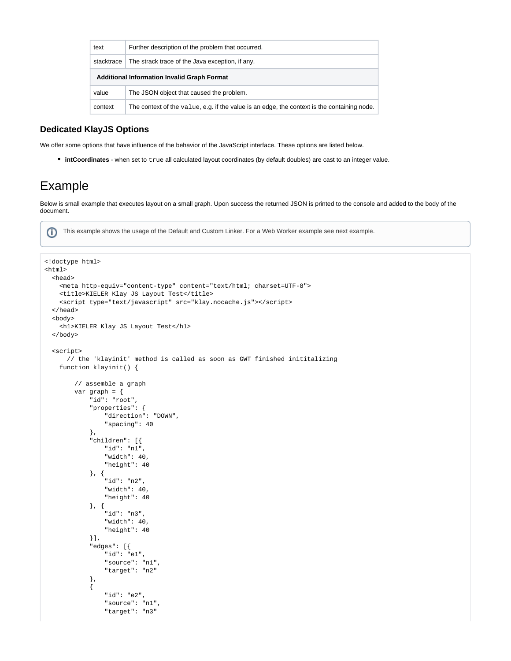| text                                               | Further description of the problem that occurred.                                           |  |
|----------------------------------------------------|---------------------------------------------------------------------------------------------|--|
| stacktrace                                         | The strack trace of the Java exception, if any.                                             |  |
| <b>Additional Information Invalid Graph Format</b> |                                                                                             |  |
| value                                              | The JSON object that caused the problem.                                                    |  |
| context                                            | The context of the value, e.g. if the value is an edge, the context is the containing node. |  |

#### <span id="page-1-0"></span>**Dedicated KlayJS Options**

We offer some options that have influence of the behavior of the JavaScript interface. These options are listed below.

**intCoordinates** - when set to true all calculated layout coordinates (by default doubles) are cast to an integer value.

## <span id="page-1-1"></span>Example

Below is small example that executes layout on a small graph. Upon success the returned JSON is printed to the console and added to the body of the document.

ന This example shows the usage of the Default and Custom Linker. For a Web Worker example see next example.

```
<!doctype html>
<html>
  <head>
     <meta http-equiv="content-type" content="text/html; charset=UTF-8">
     <title>KIELER Klay JS Layout Test</title>
    <script type="text/javascript" src="klay.nocache.js"></script>
  </head>
  <body>
    <h1>KIELER Klay JS Layout Test</h1>
  </body>
  <script>
      // the 'klayinit' method is called as soon as GWT finished inititalizing
     function klayinit() {
         // assemble a graph
         var graph = {
             "id": "root",
             "properties": {
                 "direction": "DOWN",
                 "spacing": 40
             },
             "children": [{
                 "id": "n1",
                 "width": 40,
                 "height": 40
             }, {
                  "id": "n2",
                 "width": 40,
                 "height": 40
             }, {
                  "id": "n3",
                 "width": 40,
                 "height": 40
             }],
              "edges": [{
                 "id": "e1",
                 "source": "n1",
                 "target": "n2"
             },
\{ "id": "e2",
                 "source": "n1",
                 "target": "n3"
```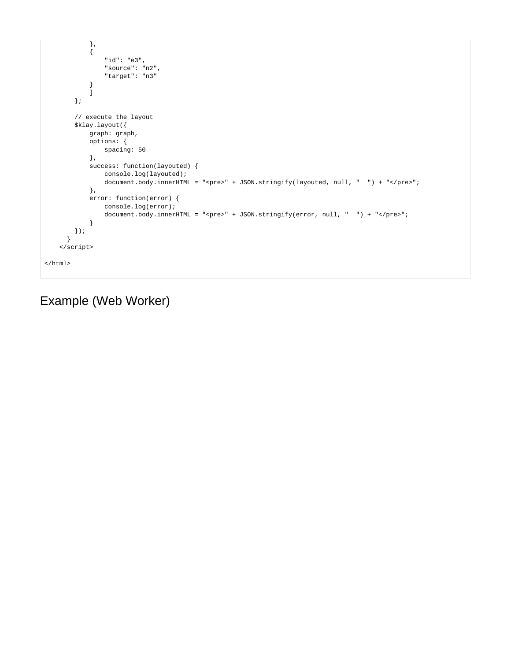```
} , \left\{ \begin{array}{c} \vspace{0.1cm} \\ \vspace{0.1cm} \end{array} \right.\{ "id": "e3",
                   "source": "n2",
                   "target": "n3"
               }
               ]
          };
          // execute the layout 
          $klay.layout({
             graph: graph,
              options: {
                  spacing: 50
              },
               success: function(layouted) {
                  console.log(layouted);
                  document.body.innerHTML = "<pre>" + JSON.stringify(layouted, null, " ") + "</pre>"; 
              },
               error: function(error) { 
                   console.log(error); 
                  document.body.innerHTML = "<pre>" + JSON.stringify(error, null, " ") + "</pre>";
              }
         });
       }
     </script>
</html>
```
# <span id="page-2-0"></span>Example (Web Worker)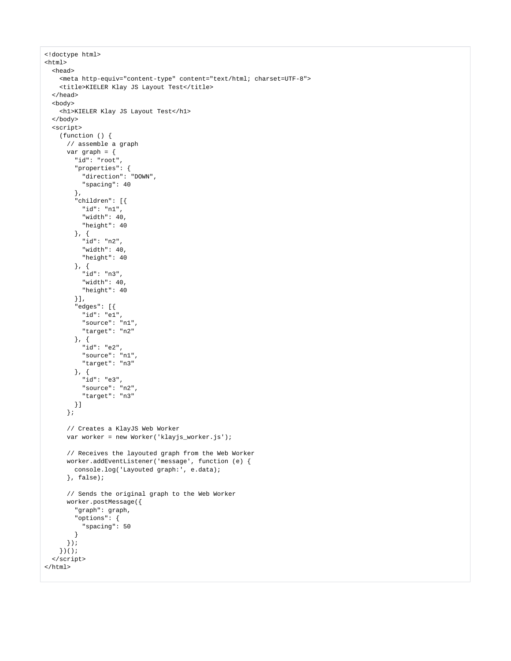```
<!doctype html>
<html>
  <head>
     <meta http-equiv="content-type" content="text/html; charset=UTF-8">
     <title>KIELER Klay JS Layout Test</title>
  </head>
  <body>
     <h1>KIELER Klay JS Layout Test</h1>
  </body>
  <script>
    (function () {
      // assemble a graph
       var graph = {
         "id": "root",
         "properties": {
           "direction": "DOWN",
           "spacing": 40
         },
         "children": [{
           "id": "n1",
           "width": 40,
           "height": 40
         }, {
           "id": "n2",
           "width": 40,
           "height": 40
         }, {
           "id": "n3",
           "width": 40,
           "height": 40
         }],
         "edges": [{
           "id": "e1",
           "source": "n1",
           "target": "n2"
         }, {
           "id": "e2",
           "source": "n1",
           "target": "n3"
         }, {
           "id": "e3",
           "source": "n2",
           "target": "n3"
        }]
       };
       // Creates a KlayJS Web Worker
       var worker = new Worker('klayjs_worker.js');
       // Receives the layouted graph from the Web Worker
       worker.addEventListener('message', function (e) {
         console.log('Layouted graph:', e.data);
       }, false);
       // Sends the original graph to the Web Worker
       worker.postMessage({
         "graph": graph,
         "options": {
           "spacing": 50
         }
       });
     })();
  </script>
</html>
```